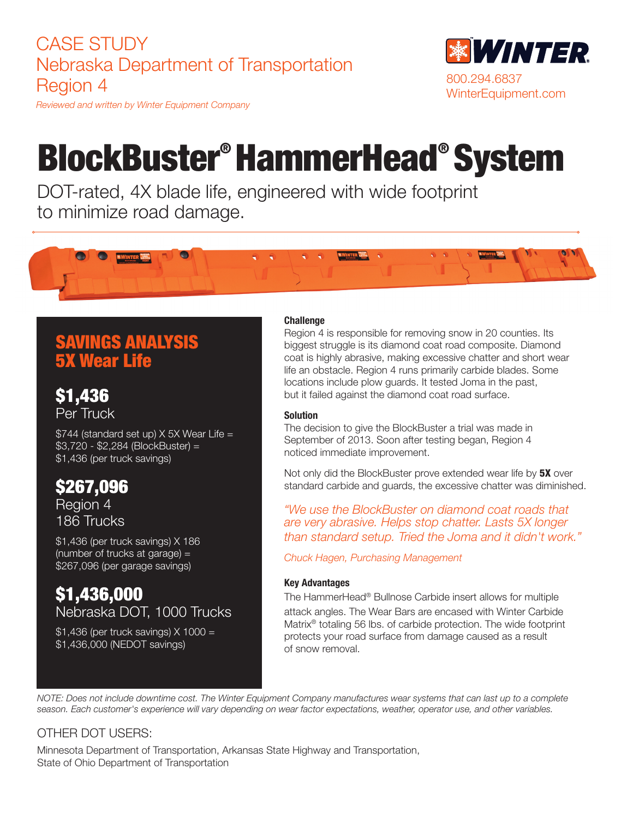# CASE STUDY Nebraska Department of Transportation Region 4



*Reviewed and written by Winter Equipment Company*

# BlockBuster® HammerHead® System

DOT-rated, 4X blade life, engineered with wide footprint to minimize road damage.



# SAVINGS ANALYSIS 5X Wear Life

\$1,436 Per Truck

\$744 (standard set up) X 5X Wear Life = \$3,720 - \$2,284 (BlockBuster) = \$1,436 (per truck savings)

# \$267,096

Region 4 186 Trucks

\$1,436 (per truck savings) X 186 (number of trucks at garage) = \$267,096 (per garage savings)

## \$1,436,000 Nebraska DOT, 1000 Trucks

\$1,436 (per truck savings) X 1000 = \$1,436,000 (NEDOT savings)

### **Challenge**

Region 4 is responsible for removing snow in 20 counties. Its biggest struggle is its diamond coat road composite. Diamond coat is highly abrasive, making excessive chatter and short wear life an obstacle. Region 4 runs primarily carbide blades. Some locations include plow guards. It tested Joma in the past, but it failed against the diamond coat road surface.

#### **Solution**

The decision to give the BlockBuster a trial was made in September of 2013. Soon after testing began, Region 4 noticed immediate improvement.

Not only did the BlockBuster prove extended wear life by 5X over standard carbide and guards, the excessive chatter was diminished.

*"We use the BlockBuster on diamond coat roads that are very abrasive. Helps stop chatter. Lasts 5X longer than standard setup. Tried the Joma and it didn't work."*

*Chuck Hagen, Purchasing Management*

### Key Advantages

The HammerHead® Bullnose Carbide insert allows for multiple attack angles. The Wear Bars are encased with Winter Carbide Matrix® totaling 56 lbs. of carbide protection. The wide footprint protects your road surface from damage caused as a result of snow removal.

*NOTE: Does not include downtime cost. The Winter Equipment Company manufactures wear systems that can last up to a complete season. Each customer's experience will vary depending on wear factor expectations, weather, operator use, and other variables.* 

## OTHER DOT USERS:

Minnesota Department of Transportation, Arkansas State Highway and Transportation, State of Ohio Department of Transportation